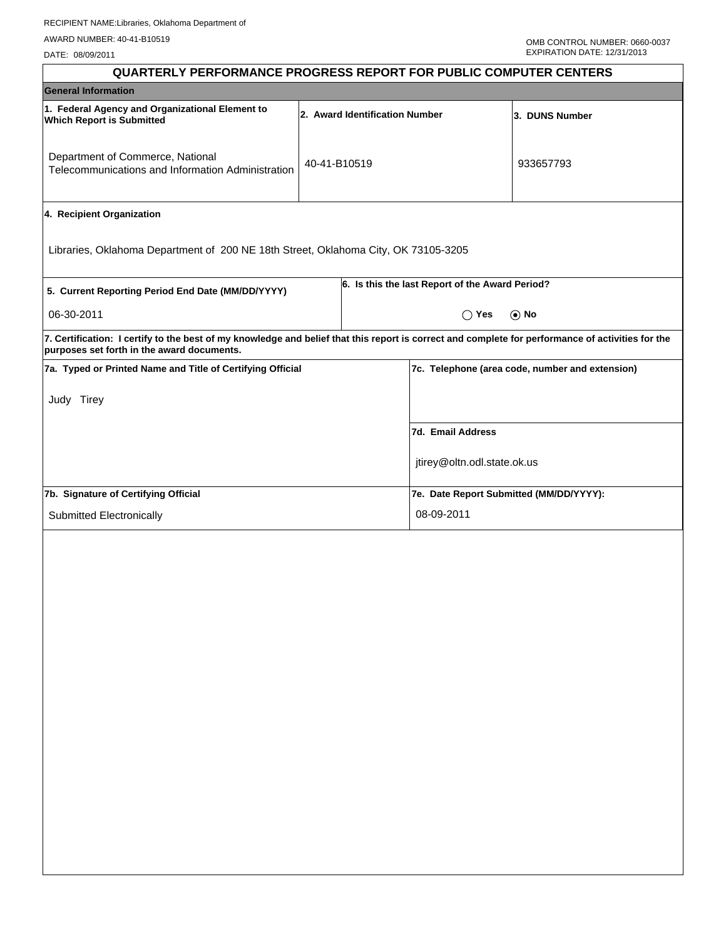| <b>General Information</b>                                                                                                                                                                      |  |
|-------------------------------------------------------------------------------------------------------------------------------------------------------------------------------------------------|--|
| 1. Federal Agency and Organizational Element to<br>2. Award Identification Number<br>3. DUNS Number<br><b>Which Report is Submitted</b>                                                         |  |
| Department of Commerce, National<br>40-41-B10519<br>933657793<br>Telecommunications and Information Administration                                                                              |  |
| 4. Recipient Organization                                                                                                                                                                       |  |
| Libraries, Oklahoma Department of 200 NE 18th Street, Oklahoma City, OK 73105-3205                                                                                                              |  |
| 6. Is this the last Report of the Award Period?<br>5. Current Reporting Period End Date (MM/DD/YYYY)                                                                                            |  |
| 06-30-2011<br>$\bigcirc$ Yes<br>$\odot$ No                                                                                                                                                      |  |
| 7. Certification: I certify to the best of my knowledge and belief that this report is correct and complete for performance of activities for the<br>purposes set forth in the award documents. |  |
| 7a. Typed or Printed Name and Title of Certifying Official<br>7c. Telephone (area code, number and extension)                                                                                   |  |
| Judy Tirey                                                                                                                                                                                      |  |
| 7d. Email Address                                                                                                                                                                               |  |
| jtirey@oltn.odl.state.ok.us                                                                                                                                                                     |  |
| 7b. Signature of Certifying Official<br>7e. Date Report Submitted (MM/DD/YYYY):                                                                                                                 |  |
| 08-09-2011<br>Submitted Electronically                                                                                                                                                          |  |
|                                                                                                                                                                                                 |  |
|                                                                                                                                                                                                 |  |
|                                                                                                                                                                                                 |  |
|                                                                                                                                                                                                 |  |
|                                                                                                                                                                                                 |  |
|                                                                                                                                                                                                 |  |
|                                                                                                                                                                                                 |  |
|                                                                                                                                                                                                 |  |
|                                                                                                                                                                                                 |  |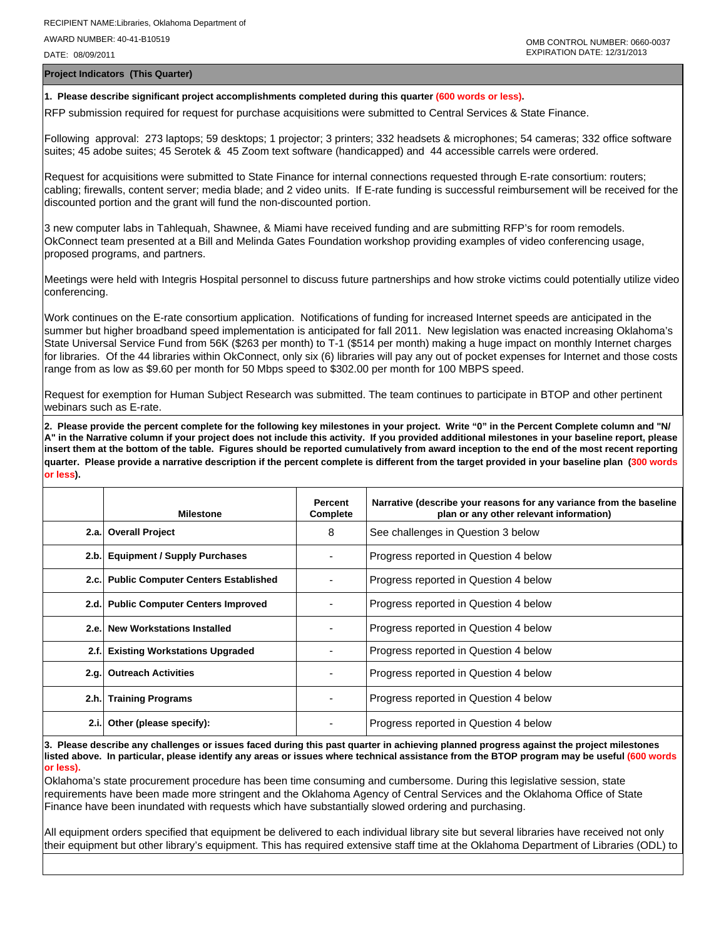**Project Indicators (This Quarter)**

## **1. Please describe significant project accomplishments completed during this quarter (600 words or less).**

RFP submission required for request for purchase acquisitions were submitted to Central Services & State Finance.

Following approval: 273 laptops; 59 desktops; 1 projector; 3 printers; 332 headsets & microphones; 54 cameras; 332 office software suites; 45 adobe suites; 45 Serotek & 45 Zoom text software (handicapped) and 44 accessible carrels were ordered.

Request for acquisitions were submitted to State Finance for internal connections requested through E-rate consortium: routers; cabling; firewalls, content server; media blade; and 2 video units. If E-rate funding is successful reimbursement will be received for the discounted portion and the grant will fund the non-discounted portion.

3 new computer labs in Tahlequah, Shawnee, & Miami have received funding and are submitting RFP's for room remodels. OkConnect team presented at a Bill and Melinda Gates Foundation workshop providing examples of video conferencing usage, proposed programs, and partners.

Meetings were held with Integris Hospital personnel to discuss future partnerships and how stroke victims could potentially utilize video conferencing.

Work continues on the E-rate consortium application. Notifications of funding for increased Internet speeds are anticipated in the summer but higher broadband speed implementation is anticipated for fall 2011. New legislation was enacted increasing Oklahoma's State Universal Service Fund from 56K (\$263 per month) to T-1 (\$514 per month) making a huge impact on monthly Internet charges for libraries. Of the 44 libraries within OkConnect, only six (6) libraries will pay any out of pocket expenses for Internet and those costs range from as low as \$9.60 per month for 50 Mbps speed to \$302.00 per month for 100 MBPS speed.

Request for exemption for Human Subject Research was submitted. The team continues to participate in BTOP and other pertinent webinars such as E-rate.

**2. Please provide the percent complete for the following key milestones in your project. Write "0" in the Percent Complete column and "N/ A" in the Narrative column if your project does not include this activity. If you provided additional milestones in your baseline report, please insert them at the bottom of the table. Figures should be reported cumulatively from award inception to the end of the most recent reporting quarter. Please provide a narrative description if the percent complete is different from the target provided in your baseline plan (300 words or less).**

|      | <b>Milestone</b>                         | Percent<br>Complete | Narrative (describe your reasons for any variance from the baseline<br>plan or any other relevant information) |
|------|------------------------------------------|---------------------|----------------------------------------------------------------------------------------------------------------|
|      | 2.a. Overall Project                     | 8                   | See challenges in Question 3 below                                                                             |
|      | 2.b. Equipment / Supply Purchases        |                     | Progress reported in Question 4 below                                                                          |
|      | 2.c. Public Computer Centers Established |                     | Progress reported in Question 4 below                                                                          |
|      | 2.d. Public Computer Centers Improved    |                     | Progress reported in Question 4 below                                                                          |
|      | 2.e. New Workstations Installed          |                     | Progress reported in Question 4 below                                                                          |
| 2.f. | <b>Existing Workstations Upgraded</b>    |                     | Progress reported in Question 4 below                                                                          |
|      | 2.g. Outreach Activities                 |                     | Progress reported in Question 4 below                                                                          |
|      | 2.h. Training Programs                   |                     | Progress reported in Question 4 below                                                                          |
| 2.i. | Other (please specify):                  |                     | Progress reported in Question 4 below                                                                          |

**3. Please describe any challenges or issues faced during this past quarter in achieving planned progress against the project milestones listed above. In particular, please identify any areas or issues where technical assistance from the BTOP program may be useful (600 words or less).**

Oklahoma's state procurement procedure has been time consuming and cumbersome. During this legislative session, state requirements have been made more stringent and the Oklahoma Agency of Central Services and the Oklahoma Office of State Finance have been inundated with requests which have substantially slowed ordering and purchasing.

All equipment orders specified that equipment be delivered to each individual library site but several libraries have received not only their equipment but other library's equipment. This has required extensive staff time at the Oklahoma Department of Libraries (ODL) to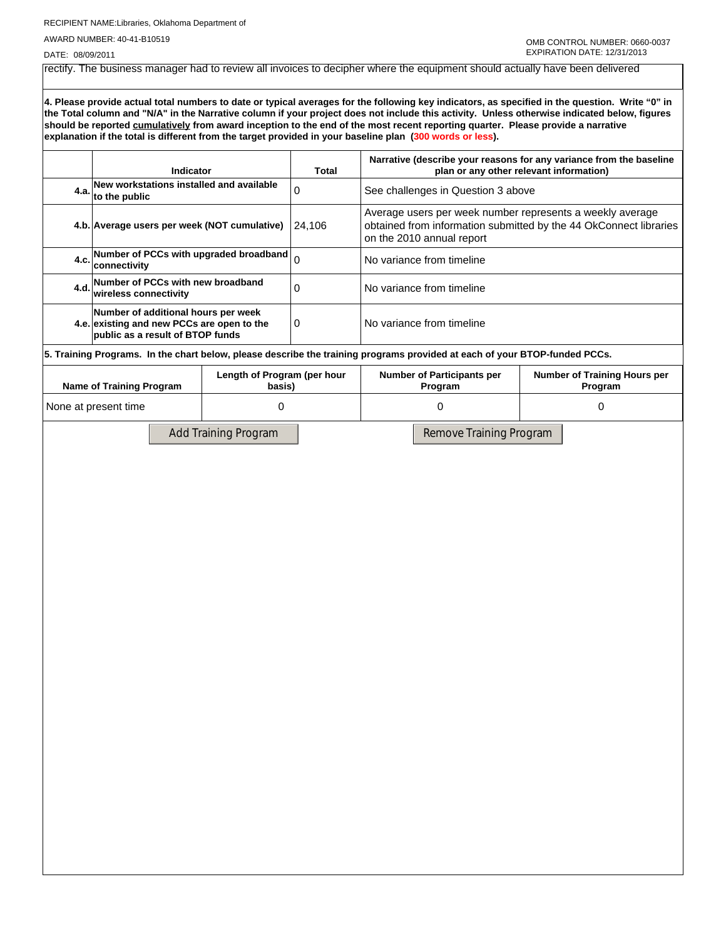RECIPIENT NAME:Libraries, Oklahoma Department of

AWARD NUMBER: 40-41-B10519

## DATE: 08/09/2011

rectify. The business manager had to review all invoices to decipher where the equipment should actually have been delivered

**4. Please provide actual total numbers to date or typical averages for the following key indicators, as specified in the question. Write "0" in the Total column and "N/A" in the Narrative column if your project does not include this activity. Unless otherwise indicated below, figures should be reported cumulatively from award inception to the end of the most recent reporting quarter. Please provide a narrative explanation if the total is different from the target provided in your baseline plan (300 words or less).** 

|      | Indicator                                                                                                             |                                       | <b>Total</b>   | Narrative (describe your reasons for any variance from the baseline<br>plan or any other relevant information)                                              |                                         |  |  |  |
|------|-----------------------------------------------------------------------------------------------------------------------|---------------------------------------|----------------|-------------------------------------------------------------------------------------------------------------------------------------------------------------|-----------------------------------------|--|--|--|
| 4.a. | New workstations installed and available<br>to the public                                                             |                                       | 0              | See challenges in Question 3 above                                                                                                                          |                                         |  |  |  |
|      | 4.b. Average users per week (NOT cumulative)                                                                          |                                       | 24,106         | Average users per week number represents a weekly average<br>obtained from information submitted by the 44 OkConnect libraries<br>on the 2010 annual report |                                         |  |  |  |
| 4.c. | Number of PCCs with upgraded broadband<br>connectivity                                                                |                                       | $\overline{0}$ | No variance from timeline                                                                                                                                   |                                         |  |  |  |
| 4.d  | Number of PCCs with new broadband<br>wireless connectivity                                                            |                                       | 0              | No variance from timeline                                                                                                                                   |                                         |  |  |  |
|      | Number of additional hours per week<br>4.e. existing and new PCCs are open to the<br>public as a result of BTOP funds |                                       | 0              | No variance from timeline                                                                                                                                   |                                         |  |  |  |
|      |                                                                                                                       |                                       |                | 5. Training Programs. In the chart below, please describe the training programs provided at each of your BTOP-funded PCCs.                                  |                                         |  |  |  |
|      | <b>Name of Training Program</b>                                                                                       | Length of Program (per hour<br>basis) |                | <b>Number of Participants per</b><br>Program                                                                                                                | Number of Training Hours per<br>Program |  |  |  |
|      | None at present time                                                                                                  | 0                                     |                | 0                                                                                                                                                           | 0                                       |  |  |  |
|      |                                                                                                                       | <b>Add Training Program</b>           |                | Remove Training Program                                                                                                                                     |                                         |  |  |  |
|      |                                                                                                                       |                                       |                |                                                                                                                                                             |                                         |  |  |  |
|      |                                                                                                                       |                                       |                |                                                                                                                                                             |                                         |  |  |  |
|      |                                                                                                                       |                                       |                |                                                                                                                                                             |                                         |  |  |  |
|      |                                                                                                                       |                                       |                |                                                                                                                                                             |                                         |  |  |  |
|      |                                                                                                                       |                                       |                |                                                                                                                                                             |                                         |  |  |  |
|      |                                                                                                                       |                                       |                |                                                                                                                                                             |                                         |  |  |  |
|      |                                                                                                                       |                                       |                |                                                                                                                                                             |                                         |  |  |  |
|      |                                                                                                                       |                                       |                |                                                                                                                                                             |                                         |  |  |  |
|      |                                                                                                                       |                                       |                |                                                                                                                                                             |                                         |  |  |  |
|      |                                                                                                                       |                                       |                |                                                                                                                                                             |                                         |  |  |  |
|      |                                                                                                                       |                                       |                |                                                                                                                                                             |                                         |  |  |  |
|      |                                                                                                                       |                                       |                |                                                                                                                                                             |                                         |  |  |  |
|      |                                                                                                                       |                                       |                |                                                                                                                                                             |                                         |  |  |  |
|      |                                                                                                                       |                                       |                |                                                                                                                                                             |                                         |  |  |  |
|      |                                                                                                                       |                                       |                |                                                                                                                                                             |                                         |  |  |  |
|      |                                                                                                                       |                                       |                |                                                                                                                                                             |                                         |  |  |  |
|      |                                                                                                                       |                                       |                |                                                                                                                                                             |                                         |  |  |  |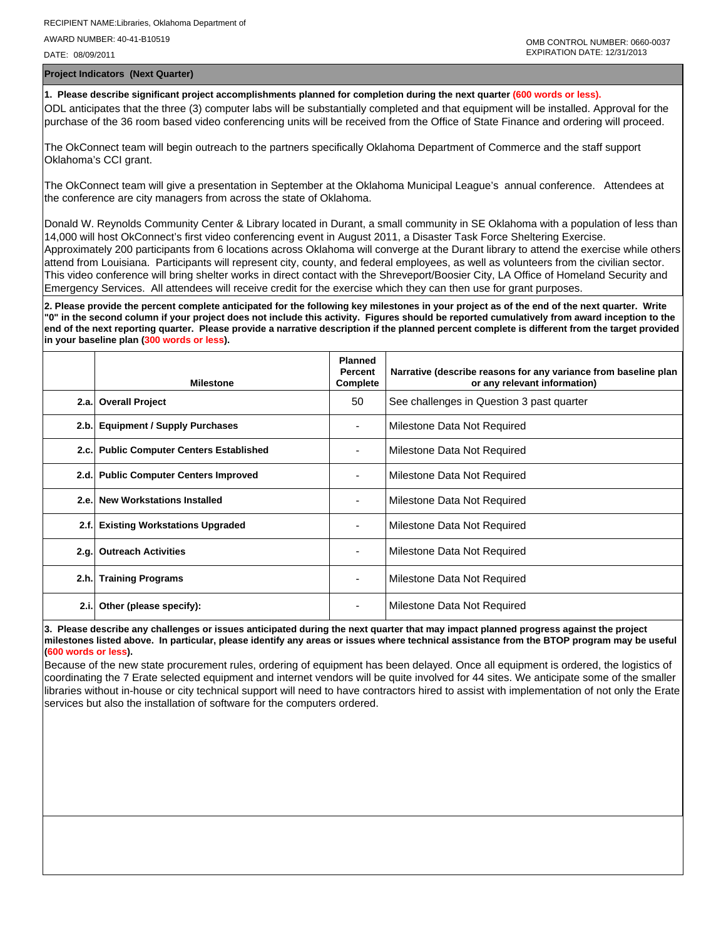**Project Indicators (Next Quarter)**

**1. Please describe significant project accomplishments planned for completion during the next quarter (600 words or less).** ODL anticipates that the three (3) computer labs will be substantially completed and that equipment will be installed. Approval for the purchase of the 36 room based video conferencing units will be received from the Office of State Finance and ordering will proceed.

The OkConnect team will begin outreach to the partners specifically Oklahoma Department of Commerce and the staff support Oklahoma's CCI grant.

The OkConnect team will give a presentation in September at the Oklahoma Municipal League's annual conference. Attendees at the conference are city managers from across the state of Oklahoma.

Donald W. Reynolds Community Center & Library located in Durant, a small community in SE Oklahoma with a population of less than 14,000 will host OkConnect's first video conferencing event in August 2011, a Disaster Task Force Sheltering Exercise. Approximately 200 participants from 6 locations across Oklahoma will converge at the Durant library to attend the exercise while others attend from Louisiana. Participants will represent city, county, and federal employees, as well as volunteers from the civilian sector. This video conference will bring shelter works in direct contact with the Shreveport/Boosier City, LA Office of Homeland Security and Emergency Services. All attendees will receive credit for the exercise which they can then use for grant purposes.

**2. Please provide the percent complete anticipated for the following key milestones in your project as of the end of the next quarter. Write "0" in the second column if your project does not include this activity. Figures should be reported cumulatively from award inception to the end of the next reporting quarter. Please provide a narrative description if the planned percent complete is different from the target provided in your baseline plan (300 words or less).**

|      | <b>Milestone</b>                         | <b>Planned</b><br>Percent<br>Complete | Narrative (describe reasons for any variance from baseline plan<br>or any relevant information) |
|------|------------------------------------------|---------------------------------------|-------------------------------------------------------------------------------------------------|
|      | 2.a. Overall Project                     | 50                                    | See challenges in Question 3 past quarter                                                       |
| 2.b. | <b>Equipment / Supply Purchases</b>      |                                       | Milestone Data Not Required                                                                     |
|      | 2.c. Public Computer Centers Established |                                       | Milestone Data Not Required                                                                     |
|      | 2.d. Public Computer Centers Improved    |                                       | Milestone Data Not Required                                                                     |
| 2.e. | New Workstations Installed               |                                       | Milestone Data Not Required                                                                     |
| 2.f. | <b>Existing Workstations Upgraded</b>    |                                       | Milestone Data Not Required                                                                     |
| 2.g. | <b>Outreach Activities</b>               |                                       | Milestone Data Not Required                                                                     |
|      | 2.h. Training Programs                   | ٠                                     | Milestone Data Not Required                                                                     |
| 2.i. | Other (please specify):                  |                                       | Milestone Data Not Required                                                                     |

**3. Please describe any challenges or issues anticipated during the next quarter that may impact planned progress against the project milestones listed above. In particular, please identify any areas or issues where technical assistance from the BTOP program may be useful (600 words or less).**

Because of the new state procurement rules, ordering of equipment has been delayed. Once all equipment is ordered, the logistics of coordinating the 7 Erate selected equipment and internet vendors will be quite involved for 44 sites. We anticipate some of the smaller libraries without in-house or city technical support will need to have contractors hired to assist with implementation of not only the Erate services but also the installation of software for the computers ordered.